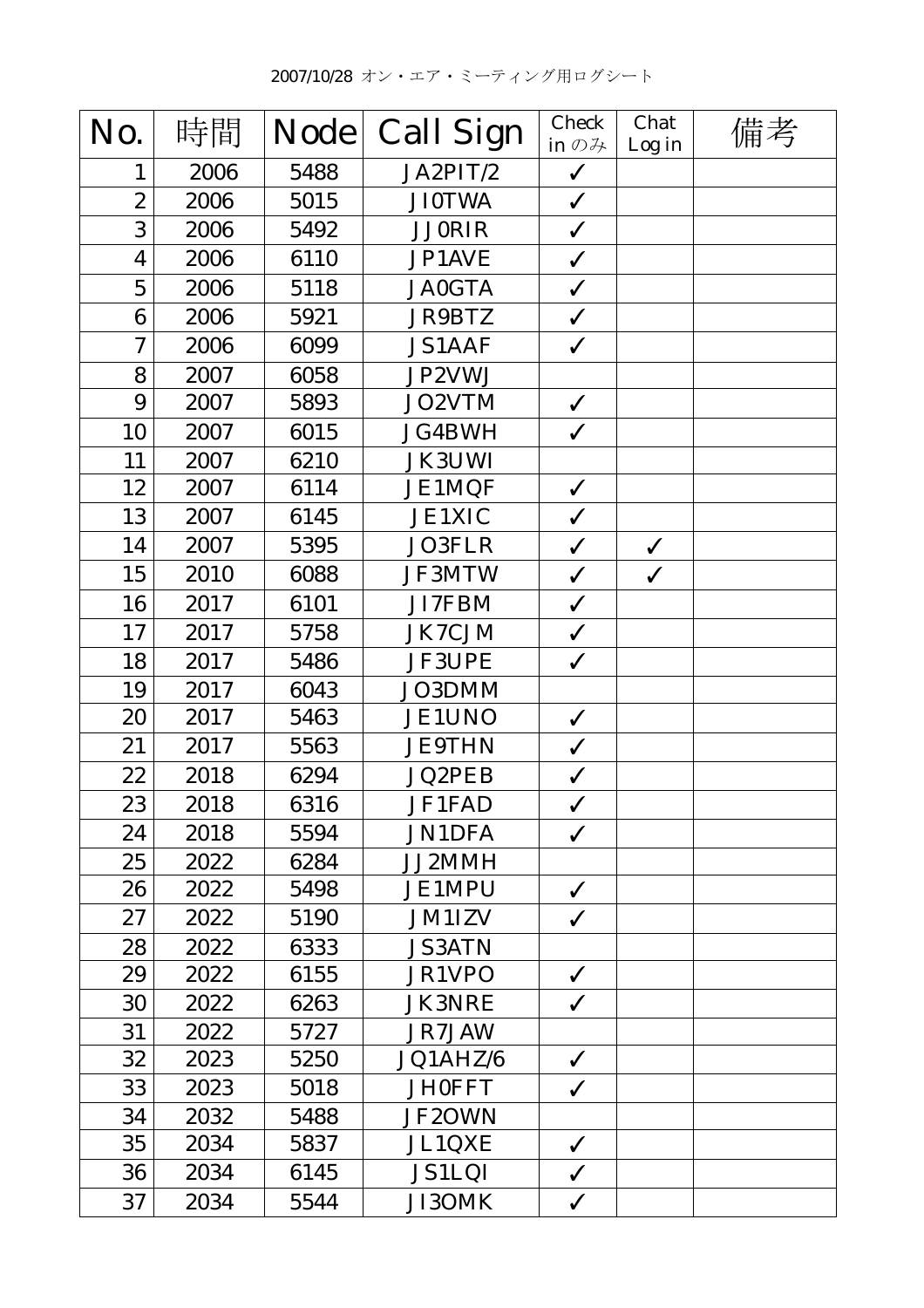| No.            | 時間   | <b>Node</b> | <b>Call Sign</b> | <b>Check</b><br>in $\mathcal{D}$ $\mathcal{H}$ | Chat<br>Log in | 備考 |
|----------------|------|-------------|------------------|------------------------------------------------|----------------|----|
| 1              | 2006 | 5488        | JA2PIT/2         | $\checkmark$                                   |                |    |
| $\overline{2}$ | 2006 | 5015        | <b>JI0TWA</b>    | $\checkmark$                                   |                |    |
| 3              | 2006 | 5492        | <b>JJ0RIR</b>    | $\checkmark$                                   |                |    |
| 4              | 2006 | 6110        | JP1AVE           | $\checkmark$                                   |                |    |
| $\overline{5}$ | 2006 | 5118        | <b>JA0GTA</b>    | $\checkmark$                                   |                |    |
| 6              | 2006 | 5921        | JR9BTZ           | $\checkmark$                                   |                |    |
| $\overline{7}$ | 2006 | 6099        | <b>JS1AAF</b>    | $\checkmark$                                   |                |    |
| 8              | 2007 | 6058        | JP2VWJ           |                                                |                |    |
| 9              | 2007 | 5893        | JO2VTM           | $\checkmark$                                   |                |    |
| 10             | 2007 | 6015        | <b>JG4BWH</b>    | $\checkmark$                                   |                |    |
| 11             | 2007 | 6210        | <b>JK3UWI</b>    |                                                |                |    |
| 12             | 2007 | 6114        | <b>JE1MQF</b>    | $\checkmark$                                   |                |    |
| 13             | 2007 | 6145        | <b>JE1XIC</b>    | $\checkmark$                                   |                |    |
| 14             | 2007 | 5395        | <b>JO3FLR</b>    | $\checkmark$                                   | $\checkmark$   |    |
| 15             | 2010 | 6088        | <b>JF3MTW</b>    | $\checkmark$                                   | $\checkmark$   |    |
| 16             | 2017 | 6101        | JI7FBM           | $\checkmark$                                   |                |    |
| 17             | 2017 | 5758        | <b>JK7CJM</b>    | $\checkmark$                                   |                |    |
| 18             | 2017 | 5486        | <b>JF3UPE</b>    | $\checkmark$                                   |                |    |
| 19             | 2017 | 6043        | JO3DMM           |                                                |                |    |
| 20             | 2017 | 5463        | <b>JE1UNO</b>    | $\checkmark$                                   |                |    |
| 21             | 2017 | 5563        | <b>JE9THN</b>    | $\checkmark$                                   |                |    |
| 22             | 2018 | 6294        | <b>JQ2PEB</b>    | $\checkmark$                                   |                |    |
| 23             | 2018 | 6316        | JF1FAD           | $\checkmark$                                   |                |    |
| 24             | 2018 | 5594        | <b>JN1DFA</b>    | $\checkmark$                                   |                |    |
| 25             | 2022 | 6284        | JJ2MMH           |                                                |                |    |
| 26             | 2022 | 5498        | <b>JE1MPU</b>    | $\checkmark$                                   |                |    |
| 27             | 2022 | 5190        | <b>JM1IZV</b>    | $\checkmark$                                   |                |    |
| 28             | 2022 | 6333        | <b>JS3ATN</b>    |                                                |                |    |
| 29             | 2022 | 6155        | <b>JR1VPO</b>    | $\checkmark$                                   |                |    |
| 30             | 2022 | 6263        | <b>JK3NRE</b>    | $\checkmark$                                   |                |    |
| 31             | 2022 | 5727        | <b>JR7JAW</b>    |                                                |                |    |
| 32             | 2023 | 5250        | JQ1AHZ/6         | $\checkmark$                                   |                |    |
| 33             | 2023 | 5018        | <b>JH0FFT</b>    | $\checkmark$                                   |                |    |
| 34             | 2032 | 5488        | JF2OWN           |                                                |                |    |
| 35             | 2034 | 5837        | <b>JL1QXE</b>    | $\checkmark$                                   |                |    |
| 36             | 2034 | 6145        | <b>JS1LQI</b>    | $\checkmark$                                   |                |    |
| 37             | 2034 | 5544        | JI3OMK           | $\checkmark$                                   |                |    |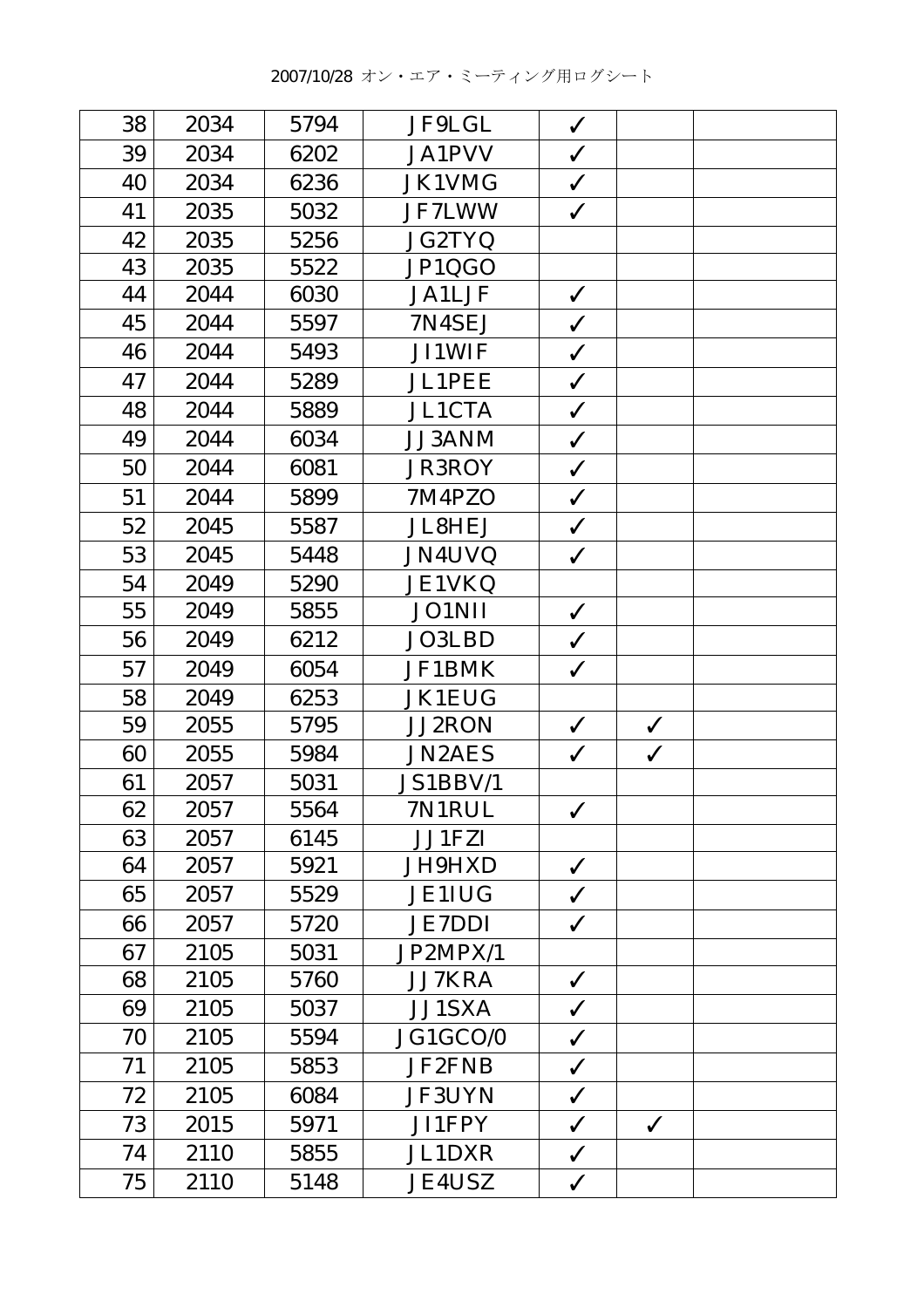| 38 | 2034 | 5794 | <b>JF9LGL</b> | $\checkmark$ |              |  |
|----|------|------|---------------|--------------|--------------|--|
| 39 | 2034 | 6202 | <b>JA1PVV</b> | $\checkmark$ |              |  |
| 40 | 2034 | 6236 | <b>JK1VMG</b> | $\checkmark$ |              |  |
| 41 | 2035 | 5032 | <b>JF7LWW</b> | $\checkmark$ |              |  |
| 42 | 2035 | 5256 | <b>JG2TYQ</b> |              |              |  |
| 43 | 2035 | 5522 | JP1QGO        |              |              |  |
| 44 | 2044 | 6030 | <b>JA1LJF</b> | $\checkmark$ |              |  |
| 45 | 2044 | 5597 | 7N4SEJ        | $\checkmark$ |              |  |
| 46 | 2044 | 5493 | <b>JI1WIF</b> | $\checkmark$ |              |  |
| 47 | 2044 | 5289 | <b>JL1PEE</b> | $\checkmark$ |              |  |
| 48 | 2044 | 5889 | <b>JL1CTA</b> | $\checkmark$ |              |  |
| 49 | 2044 | 6034 | <b>JJ3ANM</b> | $\checkmark$ |              |  |
| 50 | 2044 | 6081 | <b>JR3ROY</b> | $\checkmark$ |              |  |
| 51 | 2044 | 5899 | 7M4PZO        | $\checkmark$ |              |  |
| 52 | 2045 | 5587 | <b>JL8HEJ</b> | $\checkmark$ |              |  |
| 53 | 2045 | 5448 | JN4UVQ        | $\checkmark$ |              |  |
| 54 | 2049 | 5290 | <b>JE1VKQ</b> |              |              |  |
| 55 | 2049 | 5855 | <b>JO1NII</b> | $\checkmark$ |              |  |
| 56 | 2049 | 6212 | JO3LBD        | $\checkmark$ |              |  |
| 57 | 2049 | 6054 | JF1BMK        | $\checkmark$ |              |  |
| 58 | 2049 | 6253 | <b>JK1EUG</b> |              |              |  |
| 59 | 2055 | 5795 | <b>JJ2RON</b> | $\checkmark$ | $\checkmark$ |  |
| 60 | 2055 | 5984 | <b>JN2AES</b> | $\checkmark$ | $\checkmark$ |  |
| 61 | 2057 | 5031 | JS1BBV/1      |              |              |  |
| 62 | 2057 | 5564 | <b>7N1RUL</b> | ✓            |              |  |
| 63 | 2057 | 6145 | JJ1FZI        |              |              |  |
| 64 | 2057 | 5921 | JH9HXD        | $\checkmark$ |              |  |
| 65 | 2057 | 5529 | <b>JE1IUG</b> | $\checkmark$ |              |  |
| 66 | 2057 | 5720 | <b>JE7DDI</b> | $\checkmark$ |              |  |
| 67 | 2105 | 5031 | JP2MPX/1      |              |              |  |
| 68 | 2105 | 5760 | <b>JJ7KRA</b> | $\checkmark$ |              |  |
| 69 | 2105 | 5037 | <b>JJ1SXA</b> | $\checkmark$ |              |  |
| 70 | 2105 | 5594 | JG1GCO/0      | $\checkmark$ |              |  |
| 71 | 2105 | 5853 | <b>JF2FNB</b> | $\checkmark$ |              |  |
| 72 | 2105 | 6084 | <b>JF3UYN</b> | $\checkmark$ |              |  |
| 73 | 2015 | 5971 | JI1FPY        | $\checkmark$ | $\checkmark$ |  |
| 74 | 2110 | 5855 | <b>JL1DXR</b> | $\checkmark$ |              |  |
| 75 | 2110 | 5148 | <b>JE4USZ</b> | $\checkmark$ |              |  |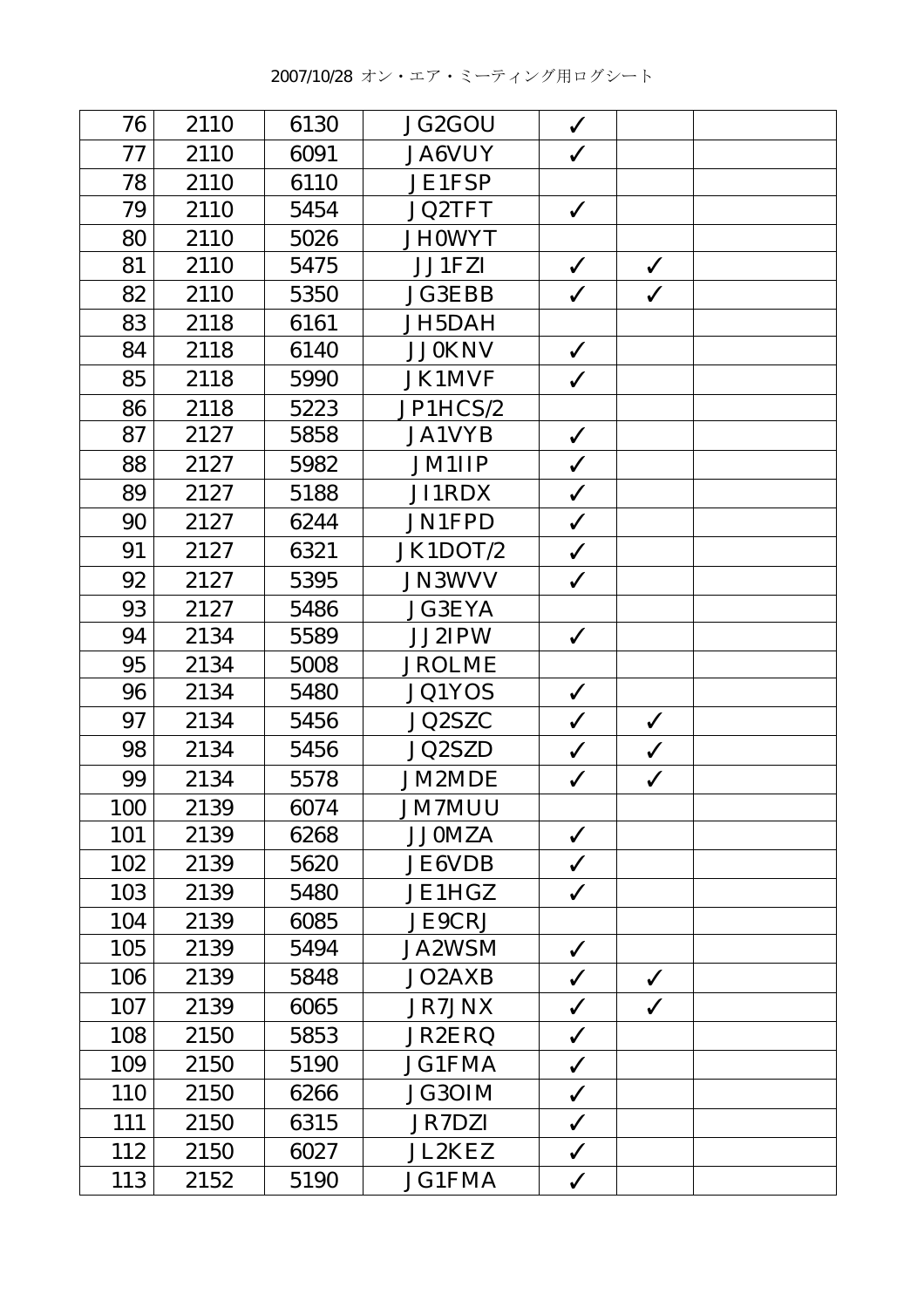| 76         | 2110 | 6130 | JG2GOU        | $\checkmark$ |              |  |
|------------|------|------|---------------|--------------|--------------|--|
| 77         | 2110 | 6091 | <b>JA6VUY</b> | $\checkmark$ |              |  |
| 78         | 2110 | 6110 | <b>JE1FSP</b> |              |              |  |
| 79         | 2110 | 5454 | <b>JQ2TFT</b> | $\checkmark$ |              |  |
| 80         | 2110 | 5026 | <b>JH0WYT</b> |              |              |  |
| 81         | 2110 | 5475 | <b>JJ1FZI</b> | $\checkmark$ | $\checkmark$ |  |
| 82         | 2110 | 5350 | <b>JG3EBB</b> | $\checkmark$ | $\checkmark$ |  |
| 83         | 2118 | 6161 | <b>JH5DAH</b> |              |              |  |
| 84         | 2118 | 6140 | <b>JJ0KNV</b> | $\checkmark$ |              |  |
| 85         | 2118 | 5990 | <b>JK1MVF</b> | $\checkmark$ |              |  |
| 86         | 2118 | 5223 | JP1HCS/2      |              |              |  |
| 87         | 2127 | 5858 | <b>JA1VYB</b> | $\checkmark$ |              |  |
| 88         | 2127 | 5982 | <b>JM1IIP</b> | $\checkmark$ |              |  |
| 89         | 2127 | 5188 | JI1RDX        | $\checkmark$ |              |  |
| 90         | 2127 | 6244 | <b>JN1FPD</b> | $\checkmark$ |              |  |
| 91         | 2127 | 6321 | JK1DOT/2      | $\checkmark$ |              |  |
| 92         | 2127 | 5395 | <b>JN3WVV</b> | $\checkmark$ |              |  |
| 93         | 2127 | 5486 | <b>JG3EYA</b> |              |              |  |
| 94         | 2134 | 5589 | <b>JJ2IPW</b> | $\checkmark$ |              |  |
| 95         | 2134 | 5008 | <b>JROLME</b> |              |              |  |
| 96         | 2134 | 5480 | <b>JQ1YOS</b> | $\checkmark$ |              |  |
| 97         | 2134 | 5456 | JQ2SZC        | $\checkmark$ | $\checkmark$ |  |
| 98         | 2134 | 5456 | <b>JQ2SZD</b> | $\checkmark$ | $\checkmark$ |  |
| 99         | 2134 | 5578 | <b>JM2MDE</b> | $\checkmark$ | $\checkmark$ |  |
| 100        | 2139 | 6074 | <b>JM7MUU</b> |              |              |  |
| 101        | 2139 | 6268 | <b>JJ0MZA</b> | $\checkmark$ |              |  |
| 102        | 2139 | 5620 | <b>JE6VDB</b> | $\checkmark$ |              |  |
| 103        | 2139 | 5480 | <b>JE1HGZ</b> | $\checkmark$ |              |  |
| 104        | 2139 | 6085 | <b>JE9CRJ</b> |              |              |  |
| 105        | 2139 | 5494 | <b>JA2WSM</b> | $\checkmark$ |              |  |
| 106        | 2139 | 5848 | JO2AXB        | $\checkmark$ | $\checkmark$ |  |
| 107        | 2139 | 6065 | <b>JR7JNX</b> | $\checkmark$ | $\checkmark$ |  |
| 108        | 2150 | 5853 | <b>JR2ERQ</b> | $\checkmark$ |              |  |
| 109        | 2150 | 5190 | <b>JG1FMA</b> | $\checkmark$ |              |  |
| <b>110</b> | 2150 | 6266 | JG30IM        | $\checkmark$ |              |  |
| 111        | 2150 | 6315 | <b>JR7DZI</b> | $\checkmark$ |              |  |
| 112        | 2150 | 6027 | <b>JL2KEZ</b> | $\checkmark$ |              |  |
| 113        | 2152 | 5190 | <b>JG1FMA</b> | $\checkmark$ |              |  |